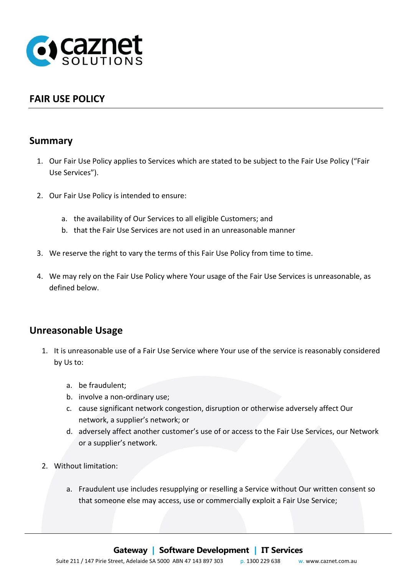

## **FAIR USE POLICY**

#### **Summary**

- 1. Our Fair Use Policy applies to Services which are stated to be subject to the Fair Use Policy ("Fair Use Services").
- 2. Our Fair Use Policy is intended to ensure:
	- a. the availability of Our Services to all eligible Customers; and
	- b. that the Fair Use Services are not used in an unreasonable manner
- 3. We reserve the right to vary the terms of this Fair Use Policy from time to time.
- 4. We may rely on the Fair Use Policy where Your usage of the Fair Use Services is unreasonable, as defined below.

### **Unreasonable Usage**

- 1. It is unreasonable use of a Fair Use Service where Your use of the service is reasonably considered by Us to:
	- a. be fraudulent;
	- b. involve a non-ordinary use;
	- c. cause significant network congestion, disruption or otherwise adversely affect Our network, a supplier's network; or
	- d. adversely affect another customer's use of or access to the Fair Use Services, our Network or a supplier's network.
- 2. Without limitation:
	- a. Fraudulent use includes resupplying or reselling a Service without Our written consent so that someone else may access, use or commercially exploit a Fair Use Service;

# Suite 211 / 147 Pirie Street, Adelaide SA 5000 ABN 47 143 897 303 p. 1300 229 638 w. www.caznet.com.au **Gateway <sup>|</sup> Software Development <sup>|</sup> IT Services**